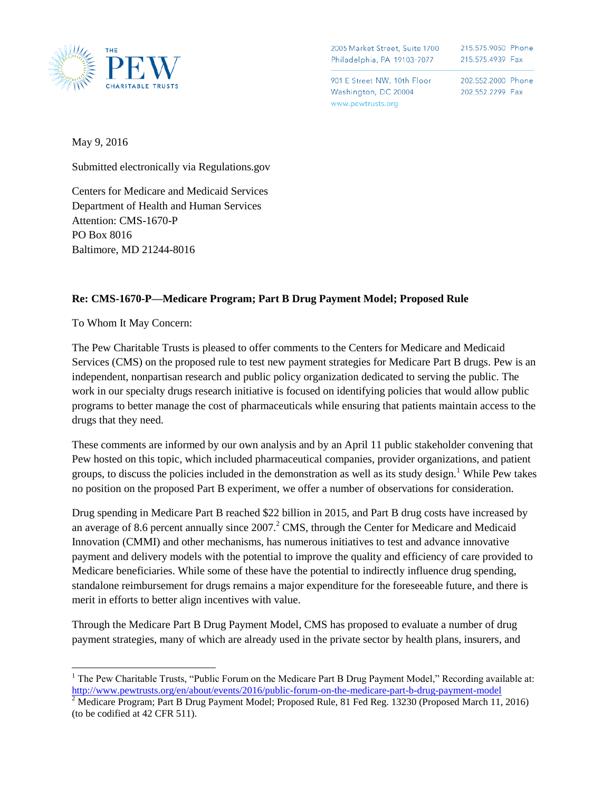

2005 Market Street, Suite 1700 Philadelphia, PA 19103-7077 215.575.9050 Phone 215.575.4939 Fax

901 E Street NW. 10th Floor Washington, DC 20004 www.pewtrusts.org

202.552.2000 Phone 202.552.2299 Fax

May 9, 2016

Submitted electronically via Regulations.gov

Centers for Medicare and Medicaid Services Department of Health and Human Services Attention: CMS-1670-P PO Box 8016 Baltimore, MD 21244-8016

## **Re: CMS-1670-P—Medicare Program; Part B Drug Payment Model; Proposed Rule**

To Whom It May Concern:

 $\overline{\phantom{a}}$ 

The Pew Charitable Trusts is pleased to offer comments to the Centers for Medicare and Medicaid Services (CMS) on the proposed rule to test new payment strategies for Medicare Part B drugs. Pew is an independent, nonpartisan research and public policy organization dedicated to serving the public. The work in our specialty drugs research initiative is focused on identifying policies that would allow public programs to better manage the cost of pharmaceuticals while ensuring that patients maintain access to the drugs that they need.

These comments are informed by our own analysis and by an April 11 public stakeholder convening that Pew hosted on this topic, which included pharmaceutical companies, provider organizations, and patient groups, to discuss the policies included in the demonstration as well as its study design.<sup>1</sup> While Pew takes no position on the proposed Part B experiment, we offer a number of observations for consideration.

Drug spending in Medicare Part B reached \$22 billion in 2015, and Part B drug costs have increased by an average of 8.6 percent annually since  $2007<sup>2</sup>$  CMS, through the Center for Medicare and Medicaid Innovation (CMMI) and other mechanisms, has numerous initiatives to test and advance innovative payment and delivery models with the potential to improve the quality and efficiency of care provided to Medicare beneficiaries. While some of these have the potential to indirectly influence drug spending, standalone reimbursement for drugs remains a major expenditure for the foreseeable future, and there is merit in efforts to better align incentives with value.

Through the Medicare Part B Drug Payment Model, CMS has proposed to evaluate a number of drug payment strategies, many of which are already used in the private sector by health plans, insurers, and

<sup>&</sup>lt;sup>1</sup> The Pew Charitable Trusts, "Public Forum on the Medicare Part B Drug Payment Model," Recording available at: <http://www.pewtrusts.org/en/about/events/2016/public-forum-on-the-medicare-part-b-drug-payment-model>

<sup>&</sup>lt;sup>2</sup> Medicare Program; Part B Drug Payment Model; Proposed Rule, 81 Fed Reg. 13230 (Proposed March 11, 2016) (to be codified at 42 CFR 511).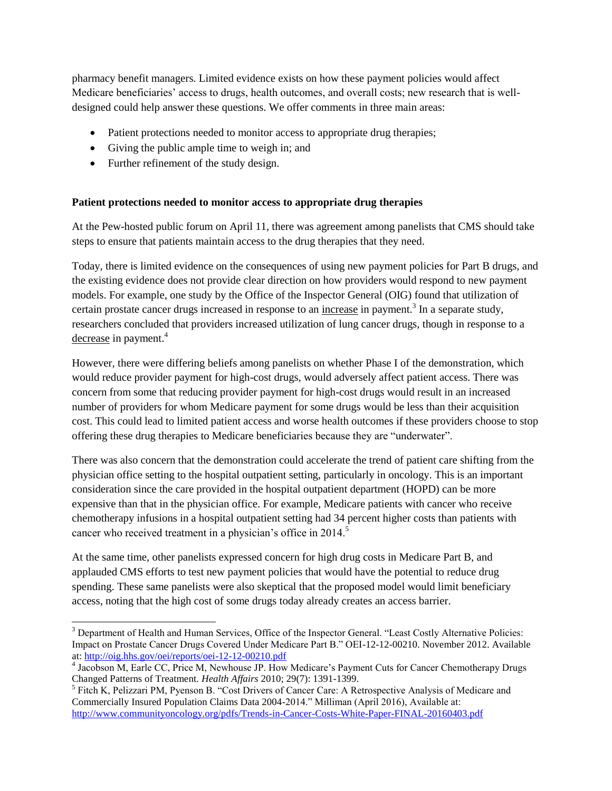pharmacy benefit managers. Limited evidence exists on how these payment policies would affect Medicare beneficiaries' access to drugs, health outcomes, and overall costs; new research that is welldesigned could help answer these questions. We offer comments in three main areas:

- Patient protections needed to monitor access to appropriate drug therapies;
- Giving the public ample time to weigh in; and
- Further refinement of the study design.

 $\overline{a}$ 

### **Patient protections needed to monitor access to appropriate drug therapies**

At the Pew-hosted public forum on April 11, there was agreement among panelists that CMS should take steps to ensure that patients maintain access to the drug therapies that they need.

Today, there is limited evidence on the consequences of using new payment policies for Part B drugs, and the existing evidence does not provide clear direction on how providers would respond to new payment models. For example, one study by the Office of the Inspector General (OIG) found that utilization of certain prostate cancer drugs increased in response to an increase in payment.<sup>3</sup> In a separate study, researchers concluded that providers increased utilization of lung cancer drugs, though in response to a decrease in payment.<sup>4</sup>

However, there were differing beliefs among panelists on whether Phase I of the demonstration, which would reduce provider payment for high-cost drugs, would adversely affect patient access. There was concern from some that reducing provider payment for high-cost drugs would result in an increased number of providers for whom Medicare payment for some drugs would be less than their acquisition cost. This could lead to limited patient access and worse health outcomes if these providers choose to stop offering these drug therapies to Medicare beneficiaries because they are "underwater".

There was also concern that the demonstration could accelerate the trend of patient care shifting from the physician office setting to the hospital outpatient setting, particularly in oncology. This is an important consideration since the care provided in the hospital outpatient department (HOPD) can be more expensive than that in the physician office. For example, Medicare patients with cancer who receive chemotherapy infusions in a hospital outpatient setting had 34 percent higher costs than patients with cancer who received treatment in a physician's office in 2014.<sup>5</sup>

At the same time, other panelists expressed concern for high drug costs in Medicare Part B, and applauded CMS efforts to test new payment policies that would have the potential to reduce drug spending. These same panelists were also skeptical that the proposed model would limit beneficiary access, noting that the high cost of some drugs today already creates an access barrier.

<sup>&</sup>lt;sup>3</sup> Department of Health and Human Services, Office of the Inspector General. "Least Costly Alternative Policies: Impact on Prostate Cancer Drugs Covered Under Medicare Part B." OEI-12-12-00210. November 2012. Available at:<http://oig.hhs.gov/oei/reports/oei-12-12-00210.pdf>

<sup>4</sup> Jacobson M, Earle CC, Price M, Newhouse JP. How Medicare's Payment Cuts for Cancer Chemotherapy Drugs Changed Patterns of Treatment*. Health Affairs* 2010; 29(7): 1391-1399.

<sup>&</sup>lt;sup>5</sup> Fitch K, Pelizzari PM, Pyenson B. "Cost Drivers of Cancer Care: A Retrospective Analysis of Medicare and Commercially Insured Population Claims Data 2004-2014." Milliman (April 2016), Available at: <http://www.communityoncology.org/pdfs/Trends-in-Cancer-Costs-White-Paper-FINAL-20160403.pdf>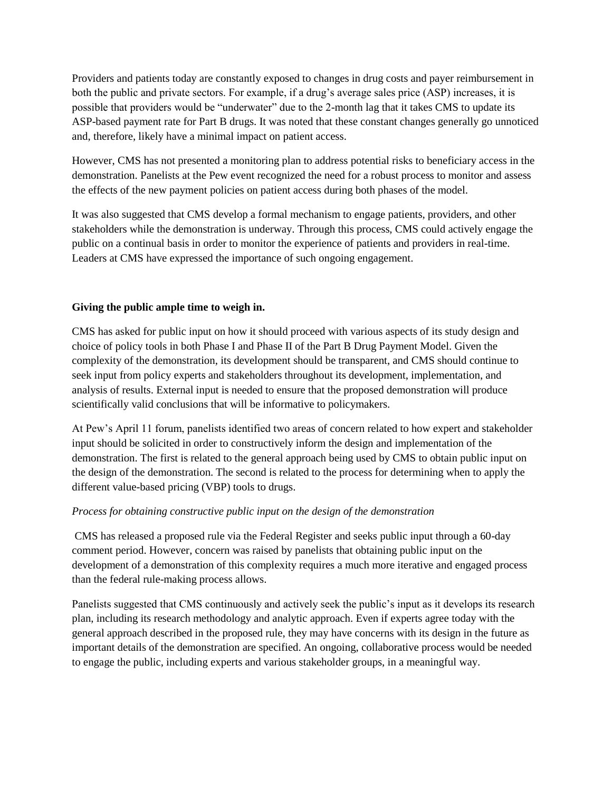Providers and patients today are constantly exposed to changes in drug costs and payer reimbursement in both the public and private sectors. For example, if a drug's average sales price (ASP) increases, it is possible that providers would be "underwater" due to the 2-month lag that it takes CMS to update its ASP-based payment rate for Part B drugs. It was noted that these constant changes generally go unnoticed and, therefore, likely have a minimal impact on patient access.

However, CMS has not presented a monitoring plan to address potential risks to beneficiary access in the demonstration. Panelists at the Pew event recognized the need for a robust process to monitor and assess the effects of the new payment policies on patient access during both phases of the model.

It was also suggested that CMS develop a formal mechanism to engage patients, providers, and other stakeholders while the demonstration is underway. Through this process, CMS could actively engage the public on a continual basis in order to monitor the experience of patients and providers in real-time. Leaders at CMS have expressed the importance of such ongoing engagement.

### **Giving the public ample time to weigh in.**

CMS has asked for public input on how it should proceed with various aspects of its study design and choice of policy tools in both Phase I and Phase II of the Part B Drug Payment Model. Given the complexity of the demonstration, its development should be transparent, and CMS should continue to seek input from policy experts and stakeholders throughout its development, implementation, and analysis of results. External input is needed to ensure that the proposed demonstration will produce scientifically valid conclusions that will be informative to policymakers.

At Pew's April 11 forum, panelists identified two areas of concern related to how expert and stakeholder input should be solicited in order to constructively inform the design and implementation of the demonstration. The first is related to the general approach being used by CMS to obtain public input on the design of the demonstration. The second is related to the process for determining when to apply the different value-based pricing (VBP) tools to drugs.

# *Process for obtaining constructive public input on the design of the demonstration*

CMS has released a proposed rule via the Federal Register and seeks public input through a 60-day comment period. However, concern was raised by panelists that obtaining public input on the development of a demonstration of this complexity requires a much more iterative and engaged process than the federal rule-making process allows.

Panelists suggested that CMS continuously and actively seek the public's input as it develops its research plan, including its research methodology and analytic approach. Even if experts agree today with the general approach described in the proposed rule, they may have concerns with its design in the future as important details of the demonstration are specified. An ongoing, collaborative process would be needed to engage the public, including experts and various stakeholder groups, in a meaningful way.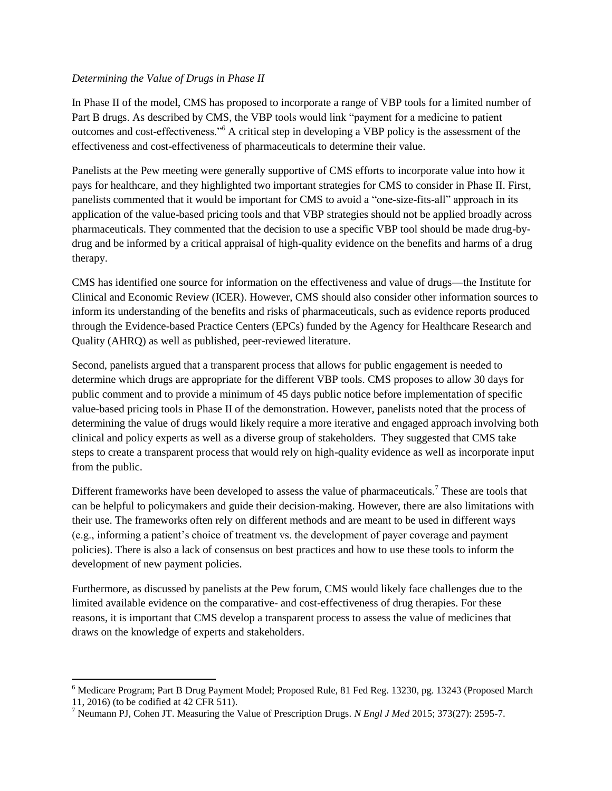### *Determining the Value of Drugs in Phase II*

In Phase II of the model, CMS has proposed to incorporate a range of VBP tools for a limited number of Part B drugs. As described by CMS, the VBP tools would link "payment for a medicine to patient outcomes and cost-effectiveness."<sup>6</sup> A critical step in developing a VBP policy is the assessment of the effectiveness and cost-effectiveness of pharmaceuticals to determine their value.

Panelists at the Pew meeting were generally supportive of CMS efforts to incorporate value into how it pays for healthcare, and they highlighted two important strategies for CMS to consider in Phase II. First, panelists commented that it would be important for CMS to avoid a "one-size-fits-all" approach in its application of the value-based pricing tools and that VBP strategies should not be applied broadly across pharmaceuticals. They commented that the decision to use a specific VBP tool should be made drug-bydrug and be informed by a critical appraisal of high-quality evidence on the benefits and harms of a drug therapy.

CMS has identified one source for information on the effectiveness and value of drugs—the Institute for Clinical and Economic Review (ICER). However, CMS should also consider other information sources to inform its understanding of the benefits and risks of pharmaceuticals, such as evidence reports produced through the Evidence-based Practice Centers (EPCs) funded by the Agency for Healthcare Research and Quality (AHRQ) as well as published, peer-reviewed literature.

Second, panelists argued that a transparent process that allows for public engagement is needed to determine which drugs are appropriate for the different VBP tools. CMS proposes to allow 30 days for public comment and to provide a minimum of 45 days public notice before implementation of specific value-based pricing tools in Phase II of the demonstration. However, panelists noted that the process of determining the value of drugs would likely require a more iterative and engaged approach involving both clinical and policy experts as well as a diverse group of stakeholders. They suggested that CMS take steps to create a transparent process that would rely on high-quality evidence as well as incorporate input from the public.

Different frameworks have been developed to assess the value of pharmaceuticals.<sup>7</sup> These are tools that can be helpful to policymakers and guide their decision-making. However, there are also limitations with their use. The frameworks often rely on different methods and are meant to be used in different ways (e.g., informing a patient's choice of treatment vs. the development of payer coverage and payment policies). There is also a lack of consensus on best practices and how to use these tools to inform the development of new payment policies.

Furthermore, as discussed by panelists at the Pew forum, CMS would likely face challenges due to the limited available evidence on the comparative- and cost-effectiveness of drug therapies. For these reasons, it is important that CMS develop a transparent process to assess the value of medicines that draws on the knowledge of experts and stakeholders.

 $\overline{\phantom{a}}$ <sup>6</sup> Medicare Program; Part B Drug Payment Model; Proposed Rule, 81 Fed Reg. 13230, pg. 13243 (Proposed March 11, 2016) (to be codified at 42 CFR 511).

<sup>7</sup> Neumann PJ, Cohen JT. Measuring the Value of Prescription Drugs. *N Engl J Med* 2015; 373(27): 2595-7.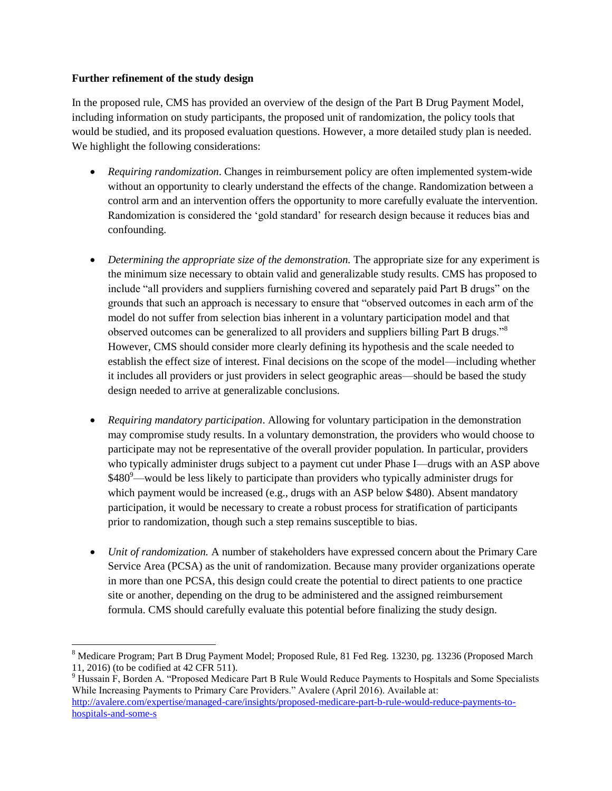### **Further refinement of the study design**

In the proposed rule, CMS has provided an overview of the design of the Part B Drug Payment Model, including information on study participants, the proposed unit of randomization, the policy tools that would be studied, and its proposed evaluation questions. However, a more detailed study plan is needed. We highlight the following considerations:

- *Requiring randomization*. Changes in reimbursement policy are often implemented system-wide without an opportunity to clearly understand the effects of the change. Randomization between a control arm and an intervention offers the opportunity to more carefully evaluate the intervention. Randomization is considered the 'gold standard' for research design because it reduces bias and confounding.
- *Determining the appropriate size of the demonstration.* The appropriate size for any experiment is the minimum size necessary to obtain valid and generalizable study results. CMS has proposed to include "all providers and suppliers furnishing covered and separately paid Part B drugs" on the grounds that such an approach is necessary to ensure that "observed outcomes in each arm of the model do not suffer from selection bias inherent in a voluntary participation model and that observed outcomes can be generalized to all providers and suppliers billing Part B drugs."<sup>8</sup> However, CMS should consider more clearly defining its hypothesis and the scale needed to establish the effect size of interest. Final decisions on the scope of the model—including whether it includes all providers or just providers in select geographic areas—should be based the study design needed to arrive at generalizable conclusions.
- *Requiring mandatory participation*. Allowing for voluntary participation in the demonstration may compromise study results. In a voluntary demonstration, the providers who would choose to participate may not be representative of the overall provider population. In particular, providers who typically administer drugs subject to a payment cut under Phase I—drugs with an ASP above  $$480^9$ —would be less likely to participate than providers who typically administer drugs for which payment would be increased (e.g., drugs with an ASP below \$480). Absent mandatory participation, it would be necessary to create a robust process for stratification of participants prior to randomization, though such a step remains susceptible to bias.
- *Unit of randomization.* A number of stakeholders have expressed concern about the Primary Care Service Area (PCSA) as the unit of randomization. Because many provider organizations operate in more than one PCSA, this design could create the potential to direct patients to one practice site or another, depending on the drug to be administered and the assigned reimbursement formula. CMS should carefully evaluate this potential before finalizing the study design.

<sup>9</sup> Hussain F, Borden A. "Proposed Medicare Part B Rule Would Reduce Payments to Hospitals and Some Specialists While Increasing Payments to Primary Care Providers." Avalere (April 2016). Available at: [http://avalere.com/expertise/managed-care/insights/proposed-medicare-part-b-rule-would-reduce-payments-to](http://avalere.com/expertise/managed-care/insights/proposed-medicare-part-b-rule-would-reduce-payments-to-hospitals-and-some-s)[hospitals-and-some-s](http://avalere.com/expertise/managed-care/insights/proposed-medicare-part-b-rule-would-reduce-payments-to-hospitals-and-some-s)

l <sup>8</sup> Medicare Program; Part B Drug Payment Model; Proposed Rule, 81 Fed Reg. 13230, pg. 13236 (Proposed March 11, 2016) (to be codified at 42 CFR 511).